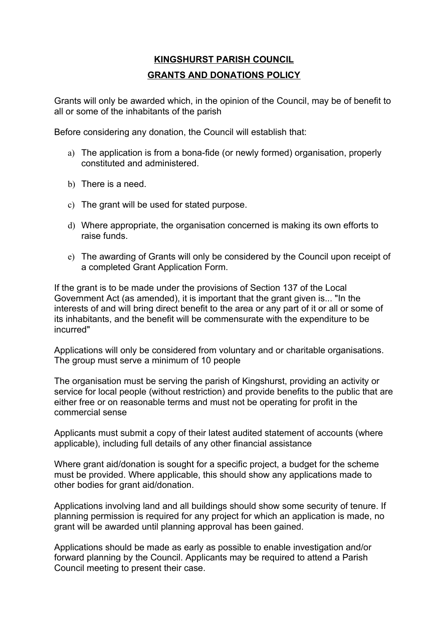## **KINGSHURST PARISH COUNCIL GRANTS AND DONATIONS POLICY**

Grants will only be awarded which, in the opinion of the Council, may be of benefit to all or some of the inhabitants of the parish

Before considering any donation, the Council will establish that:

- a) The application is from a bona-fide (or newly formed) organisation, properly constituted and administered.
- b) There is a need.
- c) The grant will be used for stated purpose.
- d) Where appropriate, the organisation concerned is making its own efforts to raise funds.
- e) The awarding of Grants will only be considered by the Council upon receipt of a completed Grant Application Form.

If the grant is to be made under the provisions of Section 137 of the Local Government Act (as amended), it is important that the grant given is... "In the interests of and will bring direct benefit to the area or any part of it or all or some of its inhabitants, and the benefit will be commensurate with the expenditure to be incurred"

Applications will only be considered from voluntary and or charitable organisations. The group must serve a minimum of 10 people

The organisation must be serving the parish of Kingshurst, providing an activity or service for local people (without restriction) and provide benefits to the public that are either free or on reasonable terms and must not be operating for profit in the commercial sense

Applicants must submit a copy of their latest audited statement of accounts (where applicable), including full details of any other financial assistance

Where grant aid/donation is sought for a specific project, a budget for the scheme must be provided. Where applicable, this should show any applications made to other bodies for grant aid/donation.

Applications involving land and all buildings should show some security of tenure. If planning permission is required for any project for which an application is made, no grant will be awarded until planning approval has been gained.

Applications should be made as early as possible to enable investigation and/or forward planning by the Council. Applicants may be required to attend a Parish Council meeting to present their case.